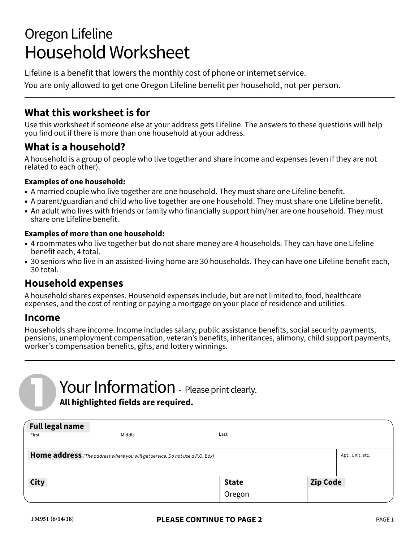# Oregon Lifeline Household Worksheet

Lifeline is a benefit that lowers the monthly cost of phone or internet service.

You are only allowed to get one Oregon Lifeline benefit per household, not per person.

#### **What this worksheet is for**

Use this worksheet if someone else at your address gets Lifeline. The answers to these questions will help you find out if there is more than one household at your address.

### **What is a household?**

A household is a group of people who live together and share income and expenses (even if they are not related to each other).

#### **Examples of one household:**

- A married couple who live together are one household. They must share one Lifeline benefit.
- A parent/guardian and child who live together are one household. They must share one Lifeline benefit.
- An adult who lives with friends or family who financially support him/her are one household. They must share one Lifeline benefit.

#### **Examples of more than one household:**

- 4 roommates who live together but do not share money are 4 households. They can have one Lifeline benefit each, 4 total.
- 30 seniors who live in an assisted-living home are 30 households. They can have one Lifeline benefit each, 30 total.

#### **Household expenses**

A household shares expenses. Household expenses include, but are not limited to, food, healthcare expenses, and the cost of renting or paying a mortgage on your place of residence and utilities.

#### **Income**

Households share income. Income includes salary, public assistance benefits, social security payments, pensions, unemployment compensation, veteran's benefits, inheritances, alimony, child support payments, worker's compensation benefits, gifts, and lottery winnings.

## **Your Information** - Please print clearly. **All highlighted fields are required.**

| <b>Full legal name</b><br>First                                                                  | Middle | Last                   |                 |  |
|--------------------------------------------------------------------------------------------------|--------|------------------------|-----------------|--|
| Home address (The address where you will get service. Do not use a P.O. Box)<br>Apt., Unit, etc. |        |                        |                 |  |
| <b>City</b>                                                                                      |        | <b>State</b><br>Oregon | <b>Zip Code</b> |  |